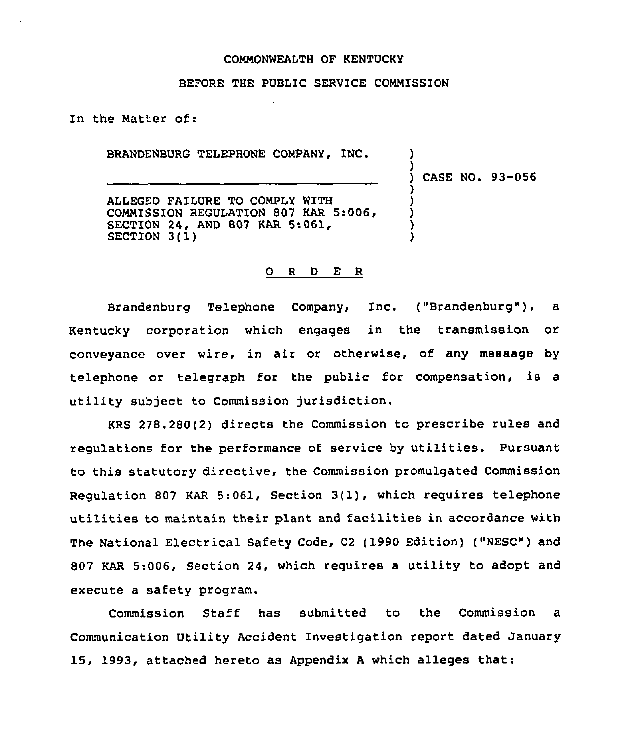# COMMONWEALTH OF KENTUCKY

# BEFORE THE PUBLIC SERVICE COMMISSION

In the Matter of:

BRANDENBURG TELEPHONE COMPANY, INC.

) CASE NO. 93-056

) )

) ) ) ) )

ALLEGED FAILURE TO COMPLY WITH COMMISSION REGULATION 807 KAR 5:006, SECTION 24, AND 807 KAR 5:061, SECTION 3(1)

#### O R D E R

Brandenburg Telephone Company, Inc. ("Brandenburg"), a Kentucky corporation which engages in the transmission or conveyance over wire, in air or otherwise, of any message by telephone or telegraph for the public for compensation, is a utility subject to Commission jurisdiction.

KRS 278.280(2) directs the Commission to prescribe rules and regulations for the performance of service by utilities. Pursuant to this statutory directive, the Commission promulgated Commission Regulation <sup>807</sup> KAR 5;061, Section 3(1), which requires telephone utilities to maintain their plant and facilities in accordance with The National Electrical Safety Code, C2 (1990 Edition) ("MESC") and 807 KAR 5:006, Section 24, which requires a utility to adopt and execute a safety program.

Commission Staff has submitted to the Commission a Communication Utility Accident Investigation report dated January 15, 1993, attached hereto as Appendix <sup>A</sup> which alleges that: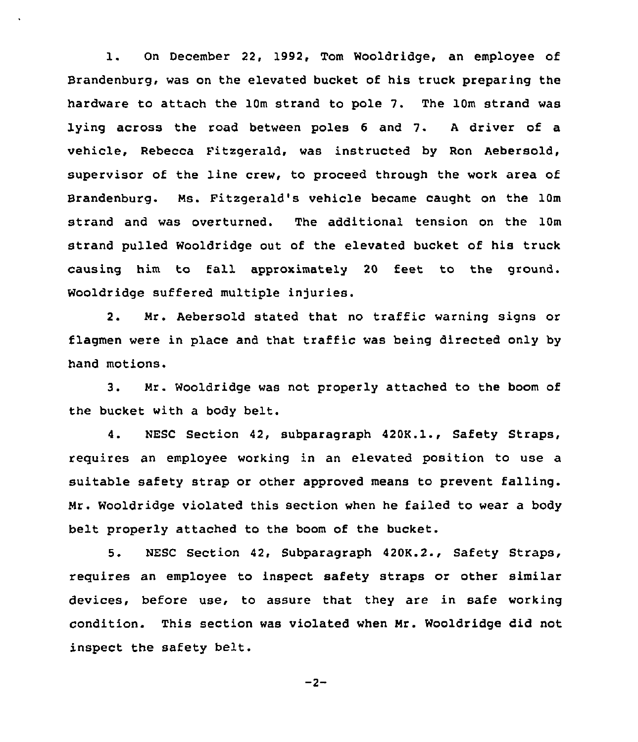l. On December 22, 1992, Tom Wooldridge, an employee of Brandenburg, was on the elevated bucket of his truck preparing the hardware to attach the 10m strand to pole 7. The 10m strand was lying across the road between poles <sup>6</sup> and 7. <sup>A</sup> driver of a vehicle, Rebecca Fitzqerald, was instructed by Ron Aebersold, supervisor of the line crew, to proceed through the work area of Brandenburg. Ms. Fitzgerald's vehicle became cauqht on the 10m strand and was overturned. The additional tension on the 10m strand pulled Wooldridge out of the elevated bucket of his truck causing him to fall approximately 20 feet to the qround. Wooldridge suffered multiple injuries.

2. Mr. Aebersold stated that no traffic warning signs or flagmen were in place and that traffic was being directed only by hand motions.

3. Mr. Wooldridge was not properly attached to the boom of the bucket with a body belt.

4. NESC Section 42, subparagraph 420K.1., Safety Straps, requires an employee working in an elevated position to use a suitable safety strap or other approved means to prevent falling. Mr. Wooldridge violated this section when he failed to wear a body belt properly attached to the boom of the bucket.

5. NESC Section 42, Subparagraph 420K.2., Safety Straps, requires an employee to inspect safety straps or other similar devices, before use, to assure that they are in safe workinq condition. This section was violated when Mr. Wooldridge did not inspect the safety belt.

$$
-2-
$$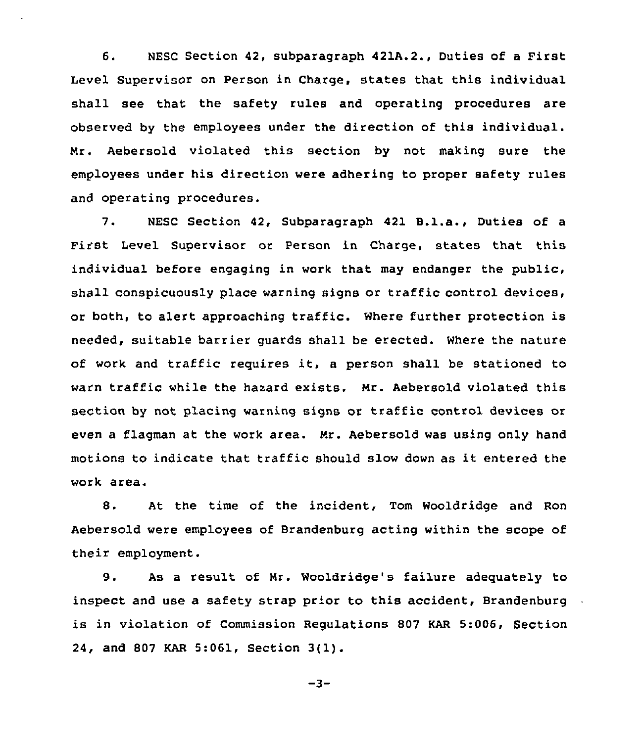6. NESC Section 42, subparagraph 421A.2., Duties of a First Level Supervisor on Person in Charge. states that this individual shall see that the safety rules and operating procedures are observed by the employees under the direction of this individual. Mr. Aebersold violated this section by not making sure the employees under his direction were adhering to proper safety rules and operating procedures.

7. NESC Section 42, Subparagraph <sup>421</sup> B.l.a., Duties of <sup>a</sup> First Level Supervisor or Person in Charge, states that this individual before engaging in work that may endanger the public, shall conspicuously place warning signs or traffic control devices, or both, to alert approaching traffic. Where further protection is needed, suitable barrier guards shall be erected. Where the nature of work and traffic requires it, <sup>a</sup> person shall be stationed to warn traffic while the hazard exists. Mr. Aebersold violated this section by not placing warning signs or traffic control devices or even a flagman at the work area. Mr. Aebersold was using only hand motions to indicate that traffic should slow down as it entered the work area.

8. At the time of the incident, Tom Wooldridge and Ron Aebersold were employees of Brandenburg acting within the scope of their employment.

9. As a result of Mr. Wooldridge's failure adequately to inspect and use a safety strap prior to this accident, Brandenburg. is in violation of Commission Regulations 807 KAR 5:006, Section 24, and <sup>807</sup> KAR 5:061, Section 3(l).

$$
-3-
$$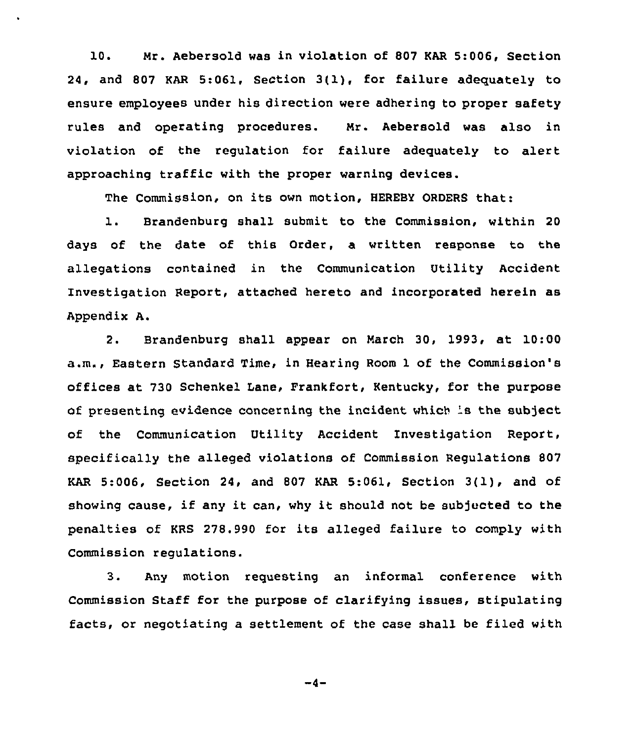10. Nr. Aebersold was in violation of 807 KAR 5:006, Section 24, and 807 KAR 5:061, section 3(1), for failure adequately to ensure employees under his direction were adhering to proper safety rules and operating procedures. Nr. Aebersold was also in violation of the regulation for failure adequately to alert approaching traffic with the proper warning devices.

The Commission, on its own motion, HEREBY ORDERS that:

1. Brandenburg shall submit to the Commission, within <sup>20</sup> days of the date of this Order, a written response to the allegations contained in the Communication Utility Accident Investigation Report, attached hereto and incorporated herein as Appendix A.

2. Brandenburg shall appear on March 30, 1993, at 10:00 a,m., Eastern Standard Time, in Hearing Room 1 of the Commission's offices at 730 Schenkel Lane, Frankfort, Kentucky, for the purpose of presenting evidence concerning the incident which 's the subject of the Communication Utility Accident Investigation Report, specifically the alleged violations of Commission Regulations 807 KAR 5:006, Section 24, and <sup>807</sup> KAR 5:061, Section 3(1), and of showing cause, if any it can, why it should not be subjected to the penalties of KRS 278.990 for its alleged failure to comply with Commission regulations.

3. Any motion requesting an informal conference with Commission Staff for the purpose of clarifying issues, stipulating facts, or negotiating a settlement of the case shall be filed with

 $-4-$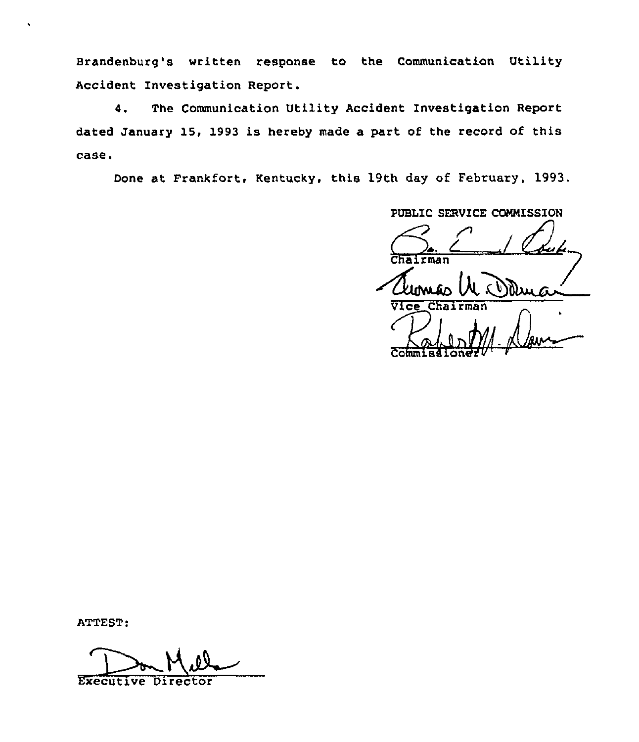Brandenburg's written response to the Communication Utility Accident Investigation Report.

4. The Communication Utility Accident Investigation Report dated January 15, 1993 is hereby made a part of the record of this case.

Done at Frankfort, Kentucky, this 19th day of February, 1993.

PUBLIC SERVICE COMMISSION rman  $V$ Ice Cha Commise  $4.0$  avec

ATTEST:

Executive Director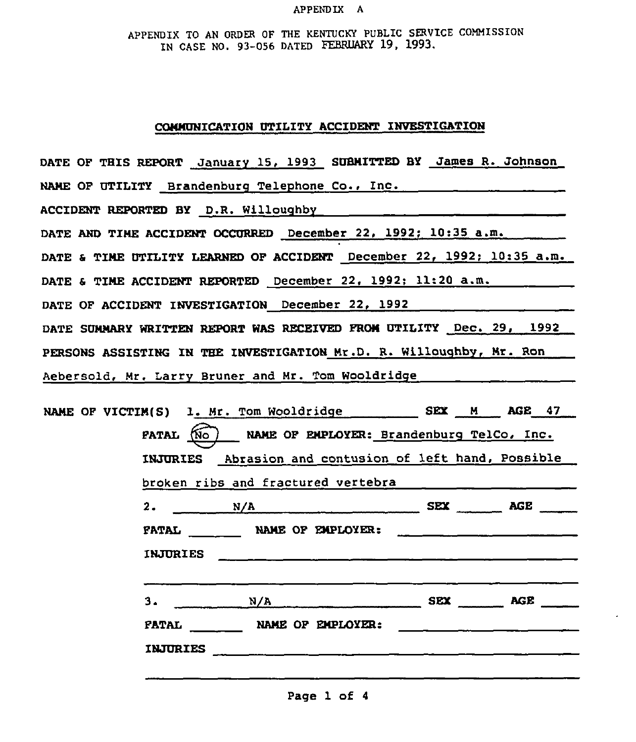#### APPENDIX A

APPENDIX TO AN ORDER OF THE KENTUCKY PUBLIC SERVICE COMMISSION IN CASE NO. 93-056 DATED FEBRUARY 19, 1993.

### CONMUHICATION UTILITY ACCIDENT INVESTIGATION

DATE OF THIS REPORT January 15, 1993 SUBMITTED BY James R. Johnson NAME OF UTILITY Brandenburg Telephone Co., Inc. 1999. ACCIDENT REPORTED BY D.R. Willouqhby DATE AND TIME ACCIDENT OCCURRED December 22, 1992; 10:35 a.m. DATE & TIME UTILITY LEARNED OF ACCIDENT December 22, 1992; 10:35 a.m. DATE & TIME ACCIDENT REPORTED December 22, 1992; 11:20 a.m. DATE OF ACCIDENT INVESTIGATION December 22, 1992 DATE SUMMARY WRITTEN REPORT WAS RECEIVED FROM UTILITY Dec. 29, 1992 PERSONS ASSISTIHG IH TBE INVESTIGATION Mr.D. R. Willouqhby, Mr. Ron Aebersold, Mr. Larry Bruner and Mr. Tom Wooldridqe

|                      | NAME OF VICTIM(S) 1. Mr. Tom Wooldridge __________ SEX __ M ___ AGE __ 47 |            |            |
|----------------------|---------------------------------------------------------------------------|------------|------------|
| <b>FATAL</b><br>(No) | NAME OF EMPLOYER: Brandenburg TelCo, Inc.                                 |            |            |
| <b>INJURIES</b>      | Abrasion and contusion of left hand, Possible                             |            |            |
|                      | broken ribs and fractured vertebra                                        |            |            |
| 2.                   | N/A                                                                       | <b>SEX</b> | AGE        |
|                      | FATAL NAME OF EMPLOYER:                                                   |            |            |
| <b>INJURIES</b>      |                                                                           |            |            |
| з.                   | N/A                                                                       | <b>SEX</b> | <b>AGE</b> |
| <b>PATAL</b>         | NAME OF EMPLOYER:                                                         |            |            |
| <b>INJURIES</b>      |                                                                           |            |            |
|                      |                                                                           |            |            |

Page 1 of <sup>4</sup>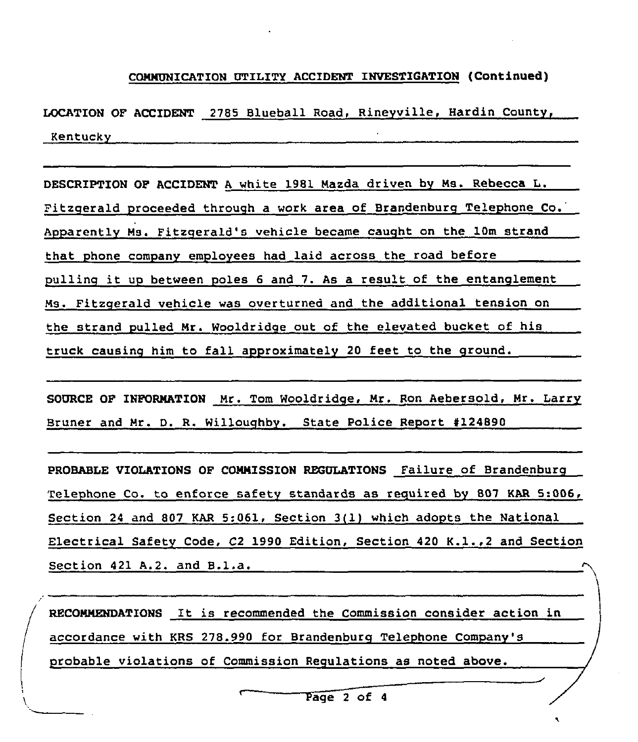# coMMUNlcATIUN UTILITY AccIDENT INvEsTIGATIUN (continued)

LOCATION OP ACCIDENT 2785 Blueball Road, Rineyville, Hardin County, Kentucky

DESCRIPTION OP ACCIDENT <sup>A</sup> white 1981 Mazda driven by Ms. Rebecca L. Fitzgerald proceeded throuqh a work area of Brandenburq Telephone Co. Apparently Ms. Fitzqerald's vehicle became cauqht on the 10m strand that phone company employees had laid across the road before pullinq it up between poles <sup>6</sup> and 7. As <sup>a</sup> result of the entanglement Ms. Fitzgerald vehicle was overturned and the additional tension on the strand pulled Mr. Wooldridqe out of the elevated bucket of his truck causing him to fall approximately 20 feet to the ground.

SOURCE OP INFORMATION Mr. Tom Wooldridqe, Mr. Ron Aebersold, Mr. Larry Bruner and Mr. D. R. Willouqhby. State Police Report 4124890

PROBABLE VIOLATIONS OF COMMISSION REGULATIONS Failure of Brandenburg Telephone Co. to enforce safety standards as required by 807 KAR 5:006, Section <sup>24</sup> and 807 KAR 5:061, Section 3(1) which adopts the National Electrical Safety Code, C2 1990 Edition, Section <sup>420</sup> K.1.,2 and Section Section <sup>421</sup> A.2. and B.l.a.

RECOMNENDATIONS It is recommended the Commission consider action in accordance with KRS 278.990 for Brandenburq Telephone Company's probable violations of Commission Requlations as noted above.

Page 2 of 4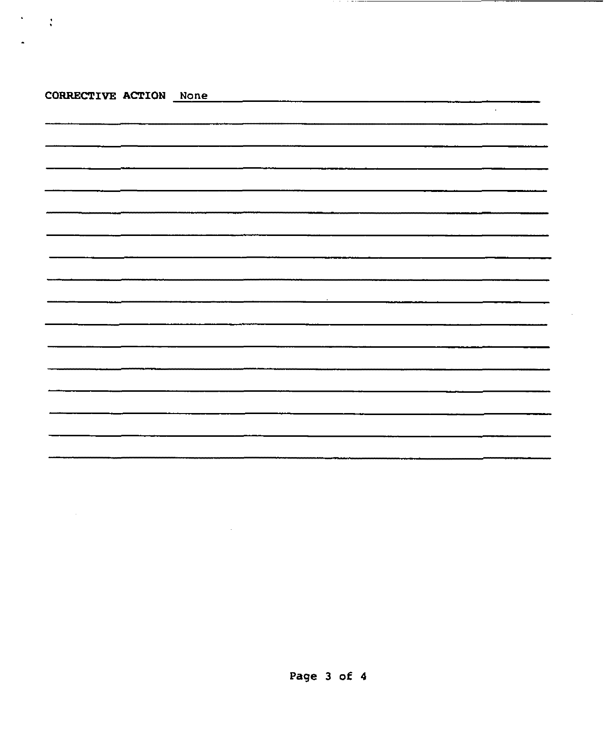| CORRECTIVE ACTION None |  |  |  |        |
|------------------------|--|--|--|--------|
|                        |  |  |  | $\sim$ |
|                        |  |  |  |        |
|                        |  |  |  |        |
|                        |  |  |  |        |
|                        |  |  |  |        |
|                        |  |  |  |        |
|                        |  |  |  |        |
|                        |  |  |  |        |
|                        |  |  |  |        |
|                        |  |  |  |        |
|                        |  |  |  |        |
|                        |  |  |  |        |
|                        |  |  |  |        |
|                        |  |  |  |        |
|                        |  |  |  |        |
|                        |  |  |  |        |
|                        |  |  |  |        |

 $\mathcal{L}(\mathcal{L}^{\mathcal{L}})$  . The set of  $\mathcal{L}^{\mathcal{L}}$ 

 $\mathcal{F}=\mathcal{F}$